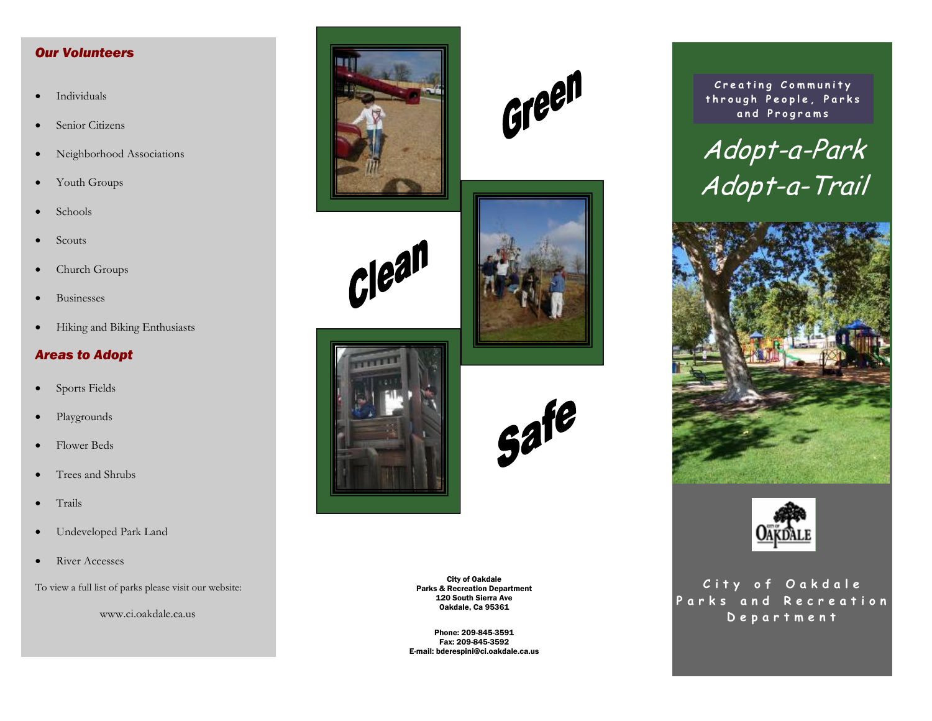# *Our Volunteers*

- Individuals
- Senior Citizens
- Neighborhood Associations
- Youth Groups
- Schools
- Scouts
- Church Groups
- Businesses
- Hiking and Biking Enthusiasts

#### *Areas to Adopt*

- Sports Fields
- Playgrounds
- Flower Beds
- Trees and Shrubs
- Trails
- Undeveloped Park Land
- River Accesses

To view a full list of parks please visit our website:

www.ci.oakdale.ca.us



 $C$  $|e^{a}$ 









City of Oakdale Parks & Recreation Department 120 South Sierra Ave Oakdale, Ca 95361

Phone: 209-845-3591 Fax: 209-845-3592 E-mail: bderespini@ci.oakdale.ca.us

**Creating Community through People, Parks and Programs** 







**City of Oakdale Parks and Recreation Department**